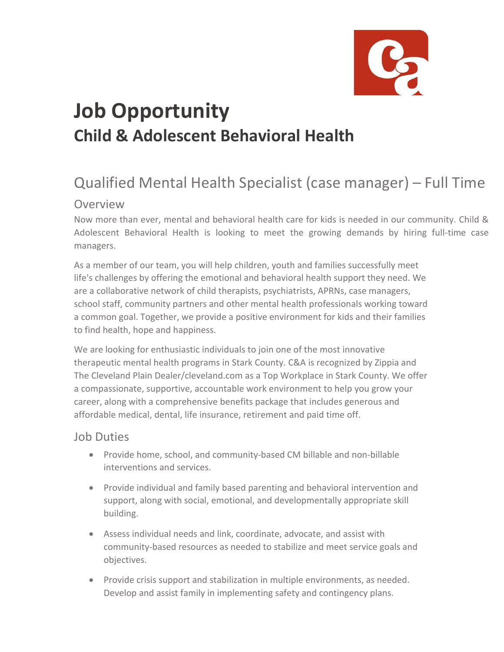

## **Job Opportunity Child & Adolescent Behavioral Health**

## Qualified Mental Health Specialist (case manager) – Full Time

## Overview

Now more than ever, mental and behavioral health care for kids is needed in our community. Child & Adolescent Behavioral Health is looking to meet the growing demands by hiring full-time case managers.

As a member of our team, you will help children, youth and families successfully meet life's challenges by offering the emotional and behavioral health support they need. We are a collaborative network of child therapists, psychiatrists, APRNs, case managers, school staff, community partners and other mental health professionals working toward a common goal. Together, we provide a positive environment for kids and their families to find health, hope and happiness.

We are looking for enthusiastic individuals to join one of the most innovative therapeutic mental health programs in Stark County. C&A is recognized by Zippia and The Cleveland Plain Dealer/cleveland.com as a Top Workplace in Stark County. We offer a compassionate, supportive, accountable work environment to help you grow your career, along with a comprehensive benefits package that includes generous and affordable medical, dental, life insurance, retirement and paid time off.

## Job Duties

- Provide home, school, and community-based CM billable and non-billable interventions and services.
- Provide individual and family based parenting and behavioral intervention and support, along with social, emotional, and developmentally appropriate skill building.
- Assess individual needs and link, coordinate, advocate, and assist with community-based resources as needed to stabilize and meet service goals and objectives.
- Provide crisis support and stabilization in multiple environments, as needed. Develop and assist family in implementing safety and contingency plans.